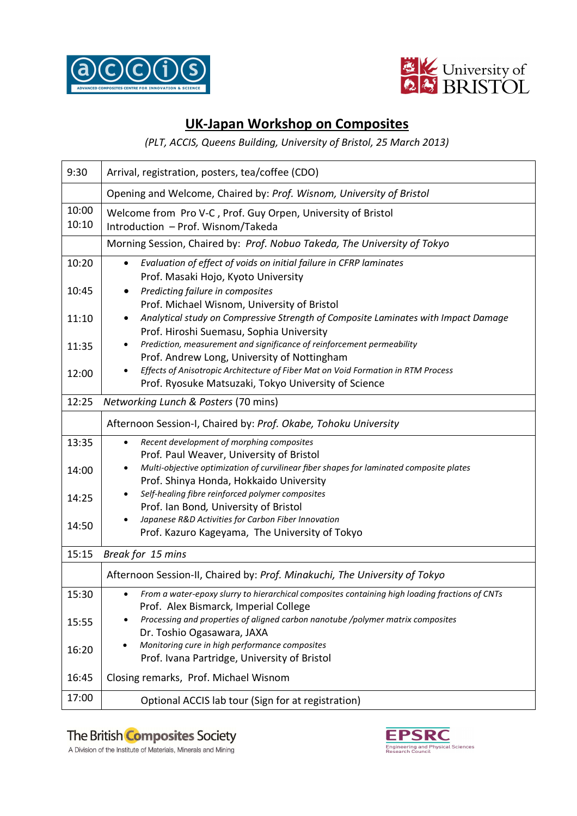



#### **UK-Japan Workshop on Composites**

*(PLT, ACCIS, Queens Building, University of Bristol, 25 March 2013)* 

| 9:30           | Arrival, registration, posters, tea/coffee (CDO)                                                                                                     |  |  |  |  |  |
|----------------|------------------------------------------------------------------------------------------------------------------------------------------------------|--|--|--|--|--|
|                | Opening and Welcome, Chaired by: Prof. Wisnom, University of Bristol                                                                                 |  |  |  |  |  |
| 10:00<br>10:10 | Welcome from Pro V-C, Prof. Guy Orpen, University of Bristol<br>Introduction - Prof. Wisnom/Takeda                                                   |  |  |  |  |  |
|                | Morning Session, Chaired by: Prof. Nobuo Takeda, The University of Tokyo                                                                             |  |  |  |  |  |
| 10:20          | Evaluation of effect of voids on initial failure in CFRP laminates<br>$\bullet$<br>Prof. Masaki Hojo, Kyoto University                               |  |  |  |  |  |
| 10:45          | Predicting failure in composites<br>Prof. Michael Wisnom, University of Bristol                                                                      |  |  |  |  |  |
| 11:10          | Analytical study on Compressive Strength of Composite Laminates with Impact Damage<br>Prof. Hiroshi Suemasu, Sophia University                       |  |  |  |  |  |
| 11:35          | Prediction, measurement and significance of reinforcement permeability<br>Prof. Andrew Long, University of Nottingham                                |  |  |  |  |  |
| 12:00          | Effects of Anisotropic Architecture of Fiber Mat on Void Formation in RTM Process<br>Prof. Ryosuke Matsuzaki, Tokyo University of Science            |  |  |  |  |  |
| 12:25          | Networking Lunch & Posters (70 mins)                                                                                                                 |  |  |  |  |  |
|                | Afternoon Session-I, Chaired by: Prof. Okabe, Tohoku University                                                                                      |  |  |  |  |  |
| 13:35          | Recent development of morphing composites<br>$\bullet$<br>Prof. Paul Weaver, University of Bristol                                                   |  |  |  |  |  |
| 14:00          | Multi-objective optimization of curvilinear fiber shapes for laminated composite plates<br>٠<br>Prof. Shinya Honda, Hokkaido University              |  |  |  |  |  |
| 14:25          | Self-healing fibre reinforced polymer composites<br>Prof. Ian Bond, University of Bristol                                                            |  |  |  |  |  |
| 14:50          | Japanese R&D Activities for Carbon Fiber Innovation<br>Prof. Kazuro Kageyama, The University of Tokyo                                                |  |  |  |  |  |
| 15:15          | Break for 15 mins                                                                                                                                    |  |  |  |  |  |
|                | Afternoon Session-II, Chaired by: Prof. Minakuchi, The University of Tokyo                                                                           |  |  |  |  |  |
| 15:30          | From a water-epoxy slurry to hierarchical composites containing high loading fractions of CNTs<br>$\bullet$<br>Prof. Alex Bismarck, Imperial College |  |  |  |  |  |
| 15:55          | Processing and properties of aligned carbon nanotube /polymer matrix composites<br>Dr. Toshio Ogasawara, JAXA                                        |  |  |  |  |  |
| 16:20          | Monitoring cure in high performance composites<br>Prof. Ivana Partridge, University of Bristol                                                       |  |  |  |  |  |
| 16:45          | Closing remarks, Prof. Michael Wisnom                                                                                                                |  |  |  |  |  |
| 17:00          | Optional ACCIS lab tour (Sign for at registration)                                                                                                   |  |  |  |  |  |

## The British Composites Society



A Division of the Institute of Materials, Minerals and Mining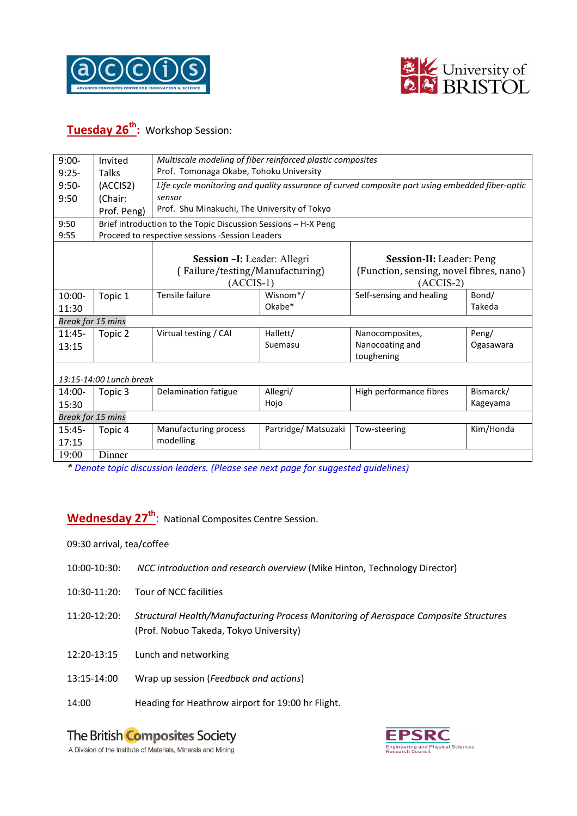



## **Tuesday 26th:** Workshop Session:

| $9:00-$                 | Invited                                                        | Multiscale modeling of fiber reinforced plastic composites                                      |                       |                                         |           |  |  |
|-------------------------|----------------------------------------------------------------|-------------------------------------------------------------------------------------------------|-----------------------|-----------------------------------------|-----------|--|--|
| $9:25-$                 | Talks                                                          | Prof. Tomonaga Okabe, Tohoku University                                                         |                       |                                         |           |  |  |
| $9:50-$                 | (ACCIS2)                                                       |                                                                                                 |                       |                                         |           |  |  |
|                         |                                                                | Life cycle monitoring and quality assurance of curved composite part using embedded fiber-optic |                       |                                         |           |  |  |
| 9:50                    | (Chair:                                                        | sensor                                                                                          |                       |                                         |           |  |  |
|                         | Prof. Peng)                                                    | Prof. Shu Minakuchi, The University of Tokyo                                                    |                       |                                         |           |  |  |
| 9:50                    | Brief introduction to the Topic Discussion Sessions - H-X Peng |                                                                                                 |                       |                                         |           |  |  |
| 9:55                    | Proceed to respective sessions -Session Leaders                |                                                                                                 |                       |                                         |           |  |  |
|                         |                                                                |                                                                                                 |                       |                                         |           |  |  |
|                         |                                                                | Session - I: Leader: Allegri                                                                    |                       | Session-II: Leader: Peng                |           |  |  |
|                         |                                                                | (Failure/testing/Manufacturing)                                                                 |                       | (Function, sensing, novel fibres, nano) |           |  |  |
|                         |                                                                | $(ACCIS-1)$                                                                                     |                       | $(ACCIS-2)$                             |           |  |  |
| 10:00-                  | Topic 1                                                        | Tensile failure                                                                                 | Wisnom <sup>*</sup> / | Self-sensing and healing                | Bond/     |  |  |
| 11:30                   |                                                                |                                                                                                 | Okabe*                |                                         | Takeda    |  |  |
| Break for 15 mins       |                                                                |                                                                                                 |                       |                                         |           |  |  |
| $11:45-$                | Topic 2                                                        | Virtual testing / CAI                                                                           | Hallett/              | Nanocomposites,                         | Peng/     |  |  |
| 13:15                   |                                                                |                                                                                                 | Suemasu               | Nanocoating and                         | Ogasawara |  |  |
|                         |                                                                |                                                                                                 |                       | toughening                              |           |  |  |
|                         |                                                                |                                                                                                 |                       |                                         |           |  |  |
| 13:15-14:00 Lunch break |                                                                |                                                                                                 |                       |                                         |           |  |  |
| 14:00-                  | Topic 3                                                        | Delamination fatigue                                                                            | Allegri/              | High performance fibres                 | Bismarck/ |  |  |
| 15:30                   |                                                                |                                                                                                 | Hojo                  |                                         | Kageyama  |  |  |
| Break for 15 mins       |                                                                |                                                                                                 |                       |                                         |           |  |  |
| $15:45-$                | Topic 4                                                        | Manufacturing process                                                                           | Partridge/ Matsuzaki  | Tow-steering                            | Kim/Honda |  |  |
| 17:15                   |                                                                | modelling                                                                                       |                       |                                         |           |  |  |
| 19:00                   | Dinner                                                         |                                                                                                 |                       |                                         |           |  |  |

*\* Denote topic discussion leaders. (Please see next page for suggested guidelines)* 

**Wednesday 27th** : National Composites Centre Session.

09:30 arrival, tea/coffee

- 10:00-10:30: *NCC introduction and research overview* (Mike Hinton, Technology Director)
- 10:30-11:20: Tour of NCC facilities
- 11:20-12:20: *Structural Health/Manufacturing Process Monitoring of Aerospace Composite Structures* (Prof. Nobuo Takeda, Tokyo University)
- 12:20-13:15 Lunch and networking
- 13:15-14:00 Wrap up session (*Feedback and actions*)
- 14:00 Heading for Heathrow airport for 19:00 hr Flight.

# The British Composites Society



A Division of the Institute of Materials, Minerals and Mining